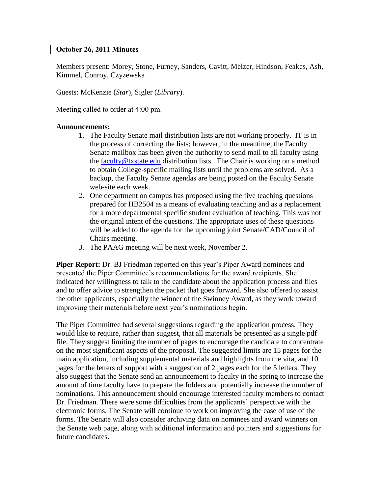## **October 26, 2011 Minutes**

Members present: Morey, Stone, Furney, Sanders, Cavitt, Melzer, Hindson, Feakes, Ash, Kimmel, Conroy, Czyzewska

Guests: McKenzie (*Star*), Sigler (*Library*).

Meeting called to order at 4:00 pm.

## **Announcements:**

- 1. The Faculty Senate mail distribution lists are not working properly. IT is in the process of correcting the lists; however, in the meantime, the Faculty Senate mailbox has been given the authority to send mail to all faculty using the [faculty@txstate.edu](mailto:faculty@txstate.edu) distribution lists. The Chair is working on a method to obtain College-specific mailing lists until the problems are solved. As a backup, the Faculty Senate agendas are being posted on the Faculty Senate web-site each week.
- 2. One department on campus has proposed using the five teaching questions prepared for HB2504 as a means of evaluating teaching and as a replacement for a more departmental specific student evaluation of teaching. This was not the original intent of the questions. The appropriate uses of these questions will be added to the agenda for the upcoming joint Senate/CAD/Council of Chairs meeting.
- 3. The PAAG meeting will be next week, November 2.

**Piper Report:** Dr. BJ Friedman reported on this year's Piper Award nominees and presented the Piper Committee's recommendations for the award recipients. She indicated her willingness to talk to the candidate about the application process and files and to offer advice to strengthen the packet that goes forward. She also offered to assist the other applicants, especially the winner of the Swinney Award, as they work toward improving their materials before next year's nominations begin.

The Piper Committee had several suggestions regarding the application process. They would like to require, rather than suggest, that all materials be presented as a single pdf file. They suggest limiting the number of pages to encourage the candidate to concentrate on the most significant aspects of the proposal. The suggested limits are 15 pages for the main application, including supplemental materials and highlights from the vita, and 10 pages for the letters of support with a suggestion of 2 pages each for the 5 letters. They also suggest that the Senate send an announcement to faculty in the spring to increase the amount of time faculty have to prepare the folders and potentially increase the number of nominations. This announcement should encourage interested faculty members to contact Dr. Friedman. There were some difficulties from the applicants' perspective with the electronic forms. The Senate will continue to work on improving the ease of use of the forms. The Senate will also consider archiving data on nominees and award winners on the Senate web page, along with additional information and pointers and suggestions for future candidates.